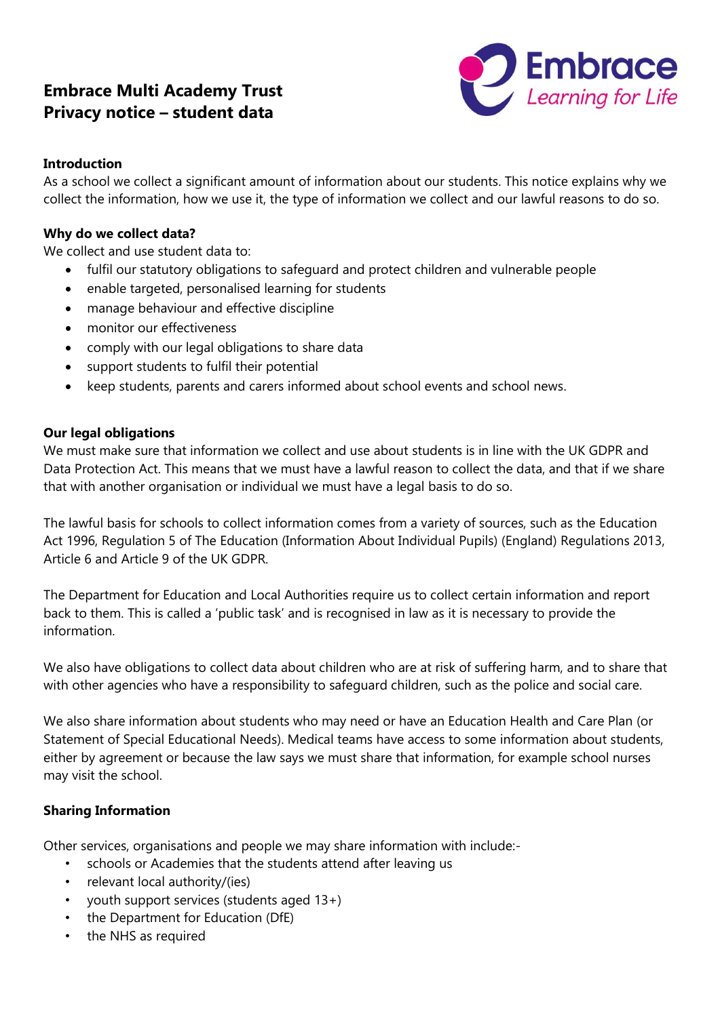# **Embrace Multi Academy Trust Privacy notice – student data**



### **Introduction**

As a school we collect a significant amount of information about our students. This notice explains why we collect the information, how we use it, the type of information we collect and our lawful reasons to do so.

# **Why do we collect data?**

We collect and use student data to:

- fulfil our statutory obligations to safeguard and protect children and vulnerable people
- enable targeted, personalised learning for students
- manage behaviour and effective discipline
- monitor our effectiveness
- comply with our legal obligations to share data
- support students to fulfil their potential
- keep students, parents and carers informed about school events and school news.

#### **Our legal obligations**

We must make sure that information we collect and use about students is in line with the UK GDPR and Data Protection Act. This means that we must have a lawful reason to collect the data, and that if we share that with another organisation or individual we must have a legal basis to do so.

The lawful basis for schools to collect information comes from a variety of sources, such as the Education Act 1996, Regulation 5 of The Education (Information About Individual Pupils) (England) Regulations 2013, Article 6 and Article 9 of the UK GDPR.

The Department for Education and Local Authorities require us to collect certain information and report back to them. This is called a 'public task' and is recognised in law as it is necessary to provide the information.

We also have obligations to collect data about children who are at risk of suffering harm, and to share that with other agencies who have a responsibility to safeguard children, such as the police and social care.

We also share information about students who may need or have an Education Health and Care Plan (or Statement of Special Educational Needs). Medical teams have access to some information about students, either by agreement or because the law says we must share that information, for example school nurses may visit the school.

#### **Sharing Information**

Other services, organisations and people we may share information with include:-

- schools or Academies that the students attend after leaving us
- relevant local authority/(ies)
- youth support services (students aged 13+)
- the Department for Education (DfE)
- the NHS as required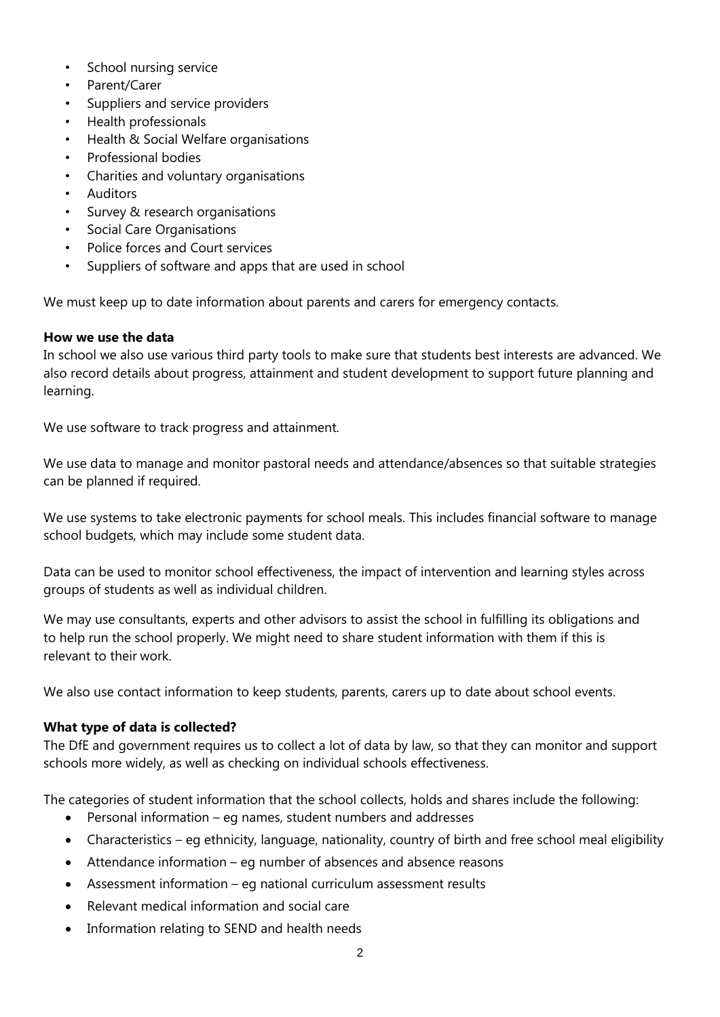- School nursing service
- Parent/Carer
- Suppliers and service providers
- Health professionals
- Health & Social Welfare organisations
- Professional bodies
- Charities and voluntary organisations
- Auditors
- Survey & research organisations
- Social Care Organisations
- Police forces and Court services
- Suppliers of software and apps that are used in school

We must keep up to date information about parents and carers for emergency contacts.

#### **How we use the data**

In school we also use various third party tools to make sure that students best interests are advanced. We also record details about progress, attainment and student development to support future planning and learning.

We use software to track progress and attainment.

We use data to manage and monitor pastoral needs and attendance/absences so that suitable strategies can be planned if required.

We use systems to take electronic payments for school meals. This includes financial software to manage school budgets, which may include some student data.

Data can be used to monitor school effectiveness, the impact of intervention and learning styles across groups of students as well as individual children.

We may use consultants, experts and other advisors to assist the school in fulfilling its obligations and to help run the school properly. We might need to share student information with them if this is relevant to their work.

We also use contact information to keep students, parents, carers up to date about school events.

#### **What type of data is collected?**

The DfE and government requires us to collect a lot of data by law, so that they can monitor and support schools more widely, as well as checking on individual schools effectiveness.

The categories of student information that the school collects, holds and shares include the following:

- Personal information eg names, student numbers and addresses
- Characteristics eg ethnicity, language, nationality, country of birth and free school meal eligibility
- Attendance information eg number of absences and absence reasons
- Assessment information eg national curriculum assessment results
- Relevant medical information and social care
- Information relating to SEND and health needs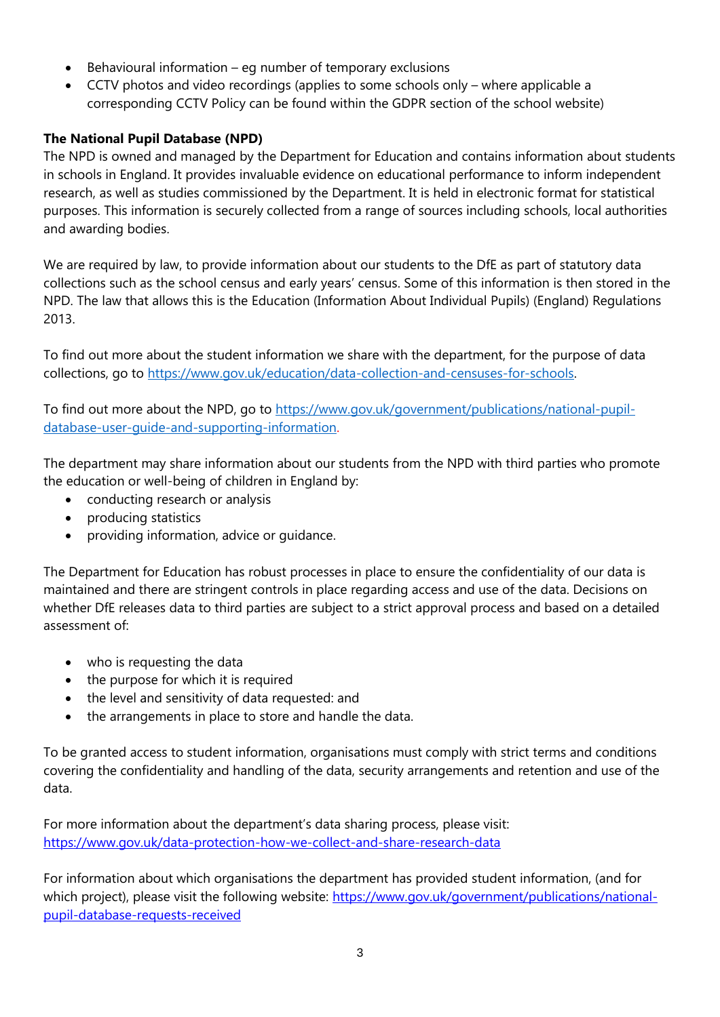- Behavioural information eg number of temporary exclusions
- CCTV photos and video recordings (applies to some schools only where applicable a corresponding CCTV Policy can be found within the GDPR section of the school website)

# **The National Pupil Database (NPD)**

The NPD is owned and managed by the Department for Education and contains information about students in schools in England. It provides invaluable evidence on educational performance to inform independent research, as well as studies commissioned by the Department. It is held in electronic format for statistical purposes. This information is securely collected from a range of sources including schools, local authorities and awarding bodies.

We are required by law, to provide information about our students to the DfE as part of statutory data collections such as the school census and early years' census. Some of this information is then stored in the NPD. The law that allows this is the Education (Information About Individual Pupils) (England) Regulations 2013.

To find out more about the student information we share with the department, for the purpose of data collections, go to [https://www.gov.uk/education/data-collection-and-censuses-for-schools.](https://www.gov.uk/education/data-collection-and-censuses-for-schools)

To find out more about the NPD, go to [https://www.gov.uk/government/publications/national-pupil](https://www.gov.uk/government/publications/national-pupil-database-user-guide-and-supporting-information)[database-user-guide-and-supporting-information.](https://www.gov.uk/government/publications/national-pupil-database-user-guide-and-supporting-information)

The department may share information about our students from the NPD with third parties who promote the education or well-being of children in England by:

- conducting research or analysis
- producing statistics
- providing information, advice or guidance.

The Department for Education has robust processes in place to ensure the confidentiality of our data is maintained and there are stringent controls in place regarding access and use of the data. Decisions on whether DfE releases data to third parties are subject to a strict approval process and based on a detailed assessment of:

- who is requesting the data
- the purpose for which it is required
- the level and sensitivity of data requested: and
- the arrangements in place to store and handle the data.

To be granted access to student information, organisations must comply with strict terms and conditions covering the confidentiality and handling of the data, security arrangements and retention and use of the data.

For more information about the department's data sharing process, please visit: <https://www.gov.uk/data-protection-how-we-collect-and-share-research-data>

For information about which organisations the department has provided student information, (and for which project), please visit the following website: [https://www.gov.uk/government/publications/national](https://www.gov.uk/government/publications/national-pupil-database-requests-received)[pupil-database-requests-received](https://www.gov.uk/government/publications/national-pupil-database-requests-received)